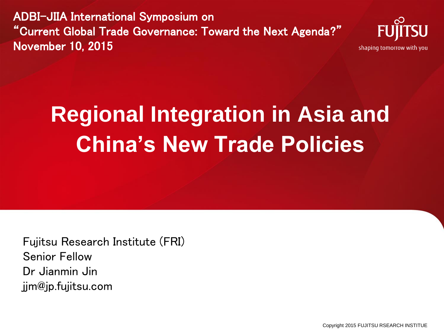ADBI-JIIA International Symposium on "Current Global Trade Governance: Toward the Next Agenda?" November 10, 2015



## **Regional Integration in Asia and China's New Trade Policies**

Fujitsu Research Institute (FRI) Senior Fellow Dr Jianmin Jin jjm@jp.fujitsu.com

Copyright 2015 FUJITSU RSEARCH INSTITUE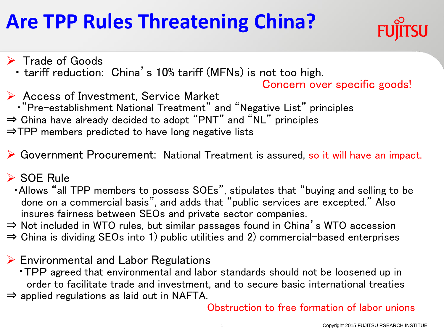## **Are TPP Rules Threatening China?**



- $\triangleright$  Trade of Goods
	- ・ tariff reduction: China's 10% tariff (MFNs) is not too high.

Concern over specific goods!

- **► Access of Investment, Service Market** ・"Pre-establishment National Treatment" and "Negative List" principles ⇒ China have already decided to adopt "PNT" and "NL" principles ⇒TPP members predicted to have long negative lists
- Government Procurement: National Treatment is assured, so it will have an impact.

#### **► SOE Rule**

- ・Allows "all TPP members to possess SOEs", stipulates that "buying and selling to be done on a commercial basis", and adds that "public services are excepted." Also insures fairness between SEOs and private sector companies.
- ⇒ Not included in WTO rules, but similar passages found in China's WTO accession
- $\Rightarrow$  China is dividing SEOs into 1) public utilities and 2) commercial-based enterprises
- $\triangleright$  Environmental and Labor Regulations
	- ・TPP agreed that environmental and labor standards should not be loosened up in order to facilitate trade and investment, and to secure basic international treaties
- $\Rightarrow$  applied regulations as laid out in NAFTA.

Obstruction to free formation of labor unions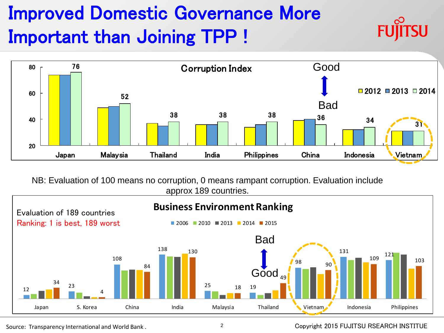## $\frac{1}{76}$ Improved Domestic Governance More Important than Joining TPP !



NB: Evaluation of 100 means no corruption, 0 means rampant corruption. Evaluation include approx 189 countries.



#### Source: Transparency International and World Bank . The Copyright 2015 FUJITSU RSEARCH INSTITUE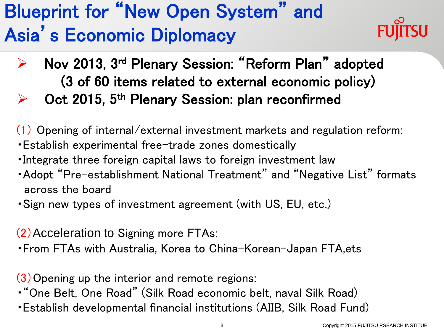## Blueprint for "New Open System" and Asia's Economic Diplomacy



- ▶ Nov 2013, 3<sup>rd</sup> Plenary Session: "Reform Plan" adopted (3 of 60 items related to external economic policy)
- Oct 2015, 5<sup>th</sup> Plenary Session: plan reconfirmed
- (1) Opening of internal/external investment markets and regulation reform:
- ・Establish experimental free-trade zones domestically
- ・Integrate three foreign capital laws to foreign investment law
- ・Adopt "Pre-establishment National Treatment" and "Negative List" formats across the board
- ・Sign new types of investment agreement (with US, EU, etc.)

(2)Acceleration to Signing more FTAs:

・From FTAs with Australia, Korea to China-Korean-Japan FTA,ets

(3)Opening up the interior and remote regions:

・"One Belt, One Road" (Silk Road economic belt, naval Silk Road)

・Establish developmental financial institutions (AIIB, Silk Road Fund)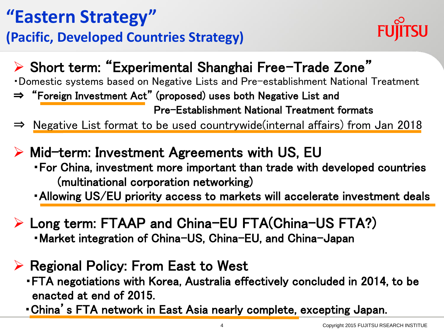#### **"Eastern Strategy" (Pacific, Developed Countries Strategy)**



#### Short term: "Experimental Shanghai Free-Trade Zone"

- ・Domestic systems based on Negative Lists and Pre-establishment National Treatment
- ⇒ "Foreign Investment Act" (proposed) uses both Negative List and Pre-Establishment National Treatment formats
- ⇒ Negative List format to be used countrywide(internal affairs) from Jan 2018
- $\triangleright$  Mid-term: Investment Agreements with US, EU ・For China, investment more important than trade with developed countries (multinational corporation networking)
	- ・Allowing US/EU priority access to markets will accelerate investment deals
- Long term: FTAAP and China-EU FTA(China-US FTA?) ・Market integration of China-US, China-EU, and China-Japan
- $\triangleright$  Regional Policy: From East to West
	- ・FTA negotiations with Korea, Australia effectively concluded in 2014, to be enacted at end of 2015.
	- ・China's FTA network in East Asia nearly complete, excepting Japan.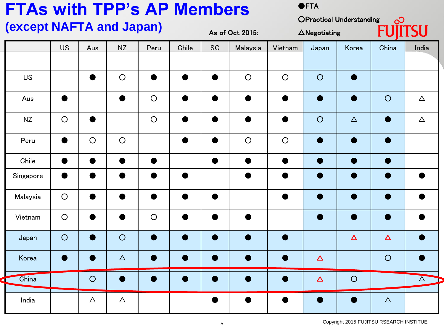| <b>FTAs with TPP's AP Members</b><br><b>OFTA</b> |           |            |           |            |                 |           |            |                                                            |           |          |                            |          |
|--------------------------------------------------|-----------|------------|-----------|------------|-----------------|-----------|------------|------------------------------------------------------------|-----------|----------|----------------------------|----------|
| (except NAFTA and Japan)                         |           |            |           |            | As of Oct 2015: |           |            | <b>OPractical Understanding</b><br>$\triangle$ Negotiating |           |          | $\infty$<br><b>FUJITSU</b> |          |
|                                                  | <b>US</b> | Aus        | <b>NZ</b> | Peru       | Chile           | SG        | Malaysia   | Vietnam                                                    | Japan     | Korea    | China                      | India    |
| <b>US</b>                                        |           |            | $\circ$   |            | $\bullet$       |           | $\circ$    | $\circ$                                                    | $\circ$   |          |                            |          |
| Aus                                              |           |            |           | $\bigcirc$ | $\bullet$       |           | ●          |                                                            | $\bullet$ |          | $\circ$                    | $\Delta$ |
| <b>NZ</b>                                        | $\circ$   |            |           | $\bigcirc$ | $\bullet$       | $\bullet$ | ●          | ●                                                          | $\circ$   | $\Delta$ | D                          | $\Delta$ |
| Peru                                             | ●         | $\bigcirc$ | $\circ$   |            | ●               |           | $\bigcirc$ | $\circ$                                                    | $\bullet$ |          |                            |          |
| Chile                                            |           | ●          | ●         |            |                 | $\bullet$ | $\bullet$  | $\bullet$                                                  | $\bullet$ |          | $\bullet$                  |          |
| Singapore                                        |           |            |           |            |                 |           |            |                                                            |           |          |                            |          |
| Malaysia                                         | $\circ$   |            |           |            | ●               |           |            |                                                            |           |          |                            |          |
| Vietnam                                          | $\circ$   |            |           | $\circ$    | ●               |           |            |                                                            | $\bullet$ |          |                            |          |
| Japan                                            | $\circ$   |            | $\circ$   |            | ■               |           |            |                                                            |           | $\Delta$ | $\Delta$                   |          |
| Korea                                            |           |            | $\Delta$  |            |                 |           |            |                                                            | $\Delta$  |          | $\bigcirc$                 |          |
| China                                            |           | $\circ$    |           |            |                 |           |            |                                                            | $\Delta$  | $\circ$  |                            | $\Delta$ |
| India                                            |           | $\Delta$   | $\Delta$  |            |                 |           |            |                                                            |           |          | $\Delta$                   |          |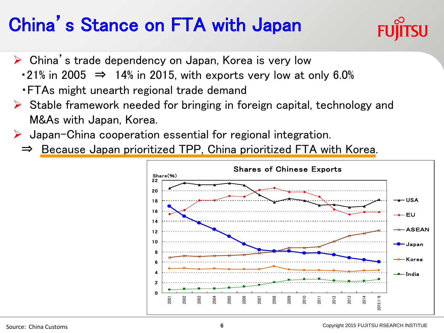### China's Stance on FTA with Japan



- $\triangleright$  China's trade dependency on Japan, Korea is very low
	- $\cdot$  21% in 2005  $\Rightarrow$  14% in 2015, with exports very low at only 6.0%
	- ・FTAs might unearth regional trade demand
- $\triangleright$  Stable framework needed for bringing in foreign capital, technology and M&As with Japan, Korea.
- $\triangleright$  Japan-China cooperation essential for regional integration.
	- ⇒ Because Japan prioritized TPP, China prioritized FTA with Korea.

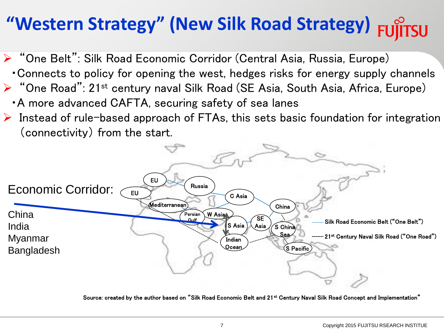## **"Western Strategy" (New Silk Road Strategy)**

- ▶ "One Belt": Silk Road Economic Corridor (Central Asia, Russia, Europe)
	- ・Connects to policy for opening the west, hedges risks for energy supply channels
- $\triangleright$  "One Road": 21<sup>st</sup> century naval Silk Road (SE Asia, South Asia, Africa, Europe)
	- ・A more advanced CAFTA, securing safety of sea lanes
- $\triangleright$  Instead of rule-based approach of FTAs, this sets basic foundation for integration (connectivity) from the start.



Source: created by the author based on "Silk Road Economic Belt and 21<sup>st</sup> Century Naval Silk Road Concept and Implementation"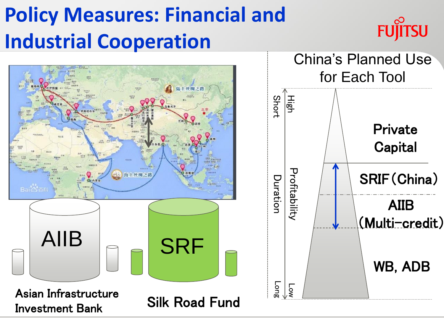## **Policy Measures: Financial and Industrial Cooperation**



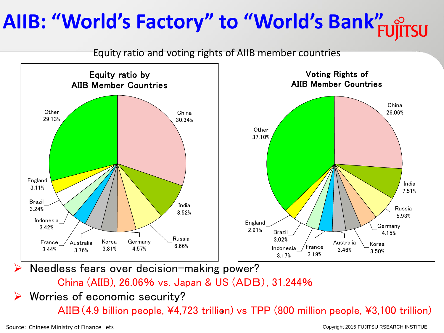## **AIIB: "World's Factory" to "World's Bank"**

Equity ratio and voting rights of AIIB member countries



China (AIIB), 26.06% vs. Japan & US (ADB), 31.244%

Worries of economic security?

AIIB (4.9 billion people, ¥4,723 trillion) vs TPP (800 million people, ¥3,100 trillion)

Source: Chinese Ministry of Finance ets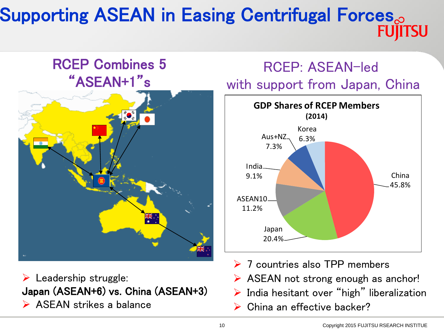#### Supporting ASEAN in Easing Centrifugal Forces<sub>o</sub> **FUIITSU**

#### RCEP Combines 5 "ASEAN+1"s



 $\triangleright$  Leadership struggle: Japan (ASEAN+6) vs. China (ASEAN+3) **ASEAN strikes a balance** 

#### RCEP: ASEAN-led with support from Japan, China



- **▶ 7 countries also TPP members**
- $\triangleright$  ASEAN not strong enough as anchor!
- $\triangleright$  India hesitant over "high" liberalization
- ▶ China an effective backer?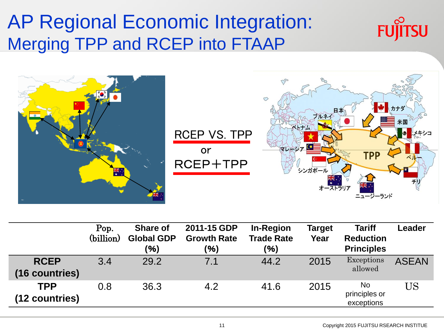#### AP Regional Economic Integration: Merging TPP and RCEP into FTAAP





|                               | Pop.<br>(billion) | <b>Share of</b><br><b>Global GDP</b><br>(%) | 2011-15 GDP<br><b>Growth Rate</b><br>(%) | <b>In-Region</b><br><b>Trade Rate</b><br>(%) | Target<br>Year | <b>Tariff</b><br><b>Reduction</b><br><b>Principles</b> | Leader       |
|-------------------------------|-------------------|---------------------------------------------|------------------------------------------|----------------------------------------------|----------------|--------------------------------------------------------|--------------|
| <b>RCEP</b><br>(16 countries) | 3.4               | 29.2                                        | 7.1                                      | 44.2                                         | 2015           | Exceptions<br>allowed                                  | <b>ASEAN</b> |
| <b>TPP</b><br>(12 countries)  | 0.8               | 36.3                                        | 4.2                                      | 41.6                                         | 2015           | <b>No</b><br>principles or<br>exceptions               | <b>US</b>    |